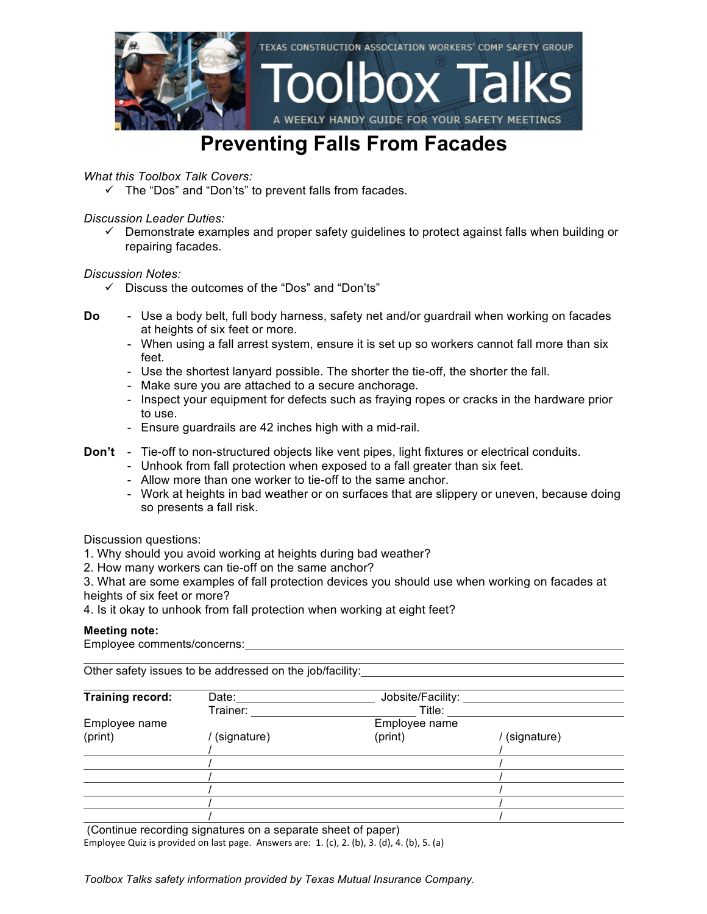

### **Preventing Falls From Facades**

*What this Toolbox Talk Covers:*

 $\checkmark$  The "Dos" and "Don'ts" to prevent falls from facades.

*Discussion Leader Duties:*

 $\checkmark$  Demonstrate examples and proper safety guidelines to protect against falls when building or repairing facades.

#### *Discussion Notes:*

- $\checkmark$  Discuss the outcomes of the "Dos" and "Don'ts"
- **Do** Use a body belt, full body harness, safety net and/or guardrail when working on facades at heights of six feet or more.
	- When using a fall arrest system, ensure it is set up so workers cannot fall more than six feet.
	- Use the shortest lanyard possible. The shorter the tie-off, the shorter the fall.
	- Make sure you are attached to a secure anchorage.
	- Inspect your equipment for defects such as fraying ropes or cracks in the hardware prior to use.
	- Ensure guardrails are 42 inches high with a mid-rail.
- **Don't** Tie-off to non-structured objects like vent pipes, light fixtures or electrical conduits.
	- Unhook from fall protection when exposed to a fall greater than six feet.
	- Allow more than one worker to tie-off to the same anchor.
	- Work at heights in bad weather or on surfaces that are slippery or uneven, because doing so presents a fall risk.

Discussion questions:

- 1. Why should you avoid working at heights during bad weather?
- 2. How many workers can tie-off on the same anchor?

3. What are some examples of fall protection devices you should use when working on facades at heights of six feet or more?

4. Is it okay to unhook from fall protection when working at eight feet?

#### **Meeting note:**

Employee comments/concerns:

Other safety issues to be addressed on the job/facility:

| <b>Training record:</b> | Date:       | Jobsite/Facility: |             |
|-------------------------|-------------|-------------------|-------------|
|                         | Trainer:    | Title:            |             |
| Employee name           |             | Employee name     |             |
| (print)                 | (signature) | (print)           | (signature) |
|                         |             |                   |             |
|                         |             |                   |             |
|                         |             |                   |             |
|                         |             |                   |             |
|                         |             |                   |             |
|                         |             |                   |             |

(Continue recording signatures on a separate sheet of paper) Employee Quiz is provided on last page. Answers are:  $1.$  (c),  $2.$  (b),  $3.$  (d),  $4.$  (b),  $5.$  (a)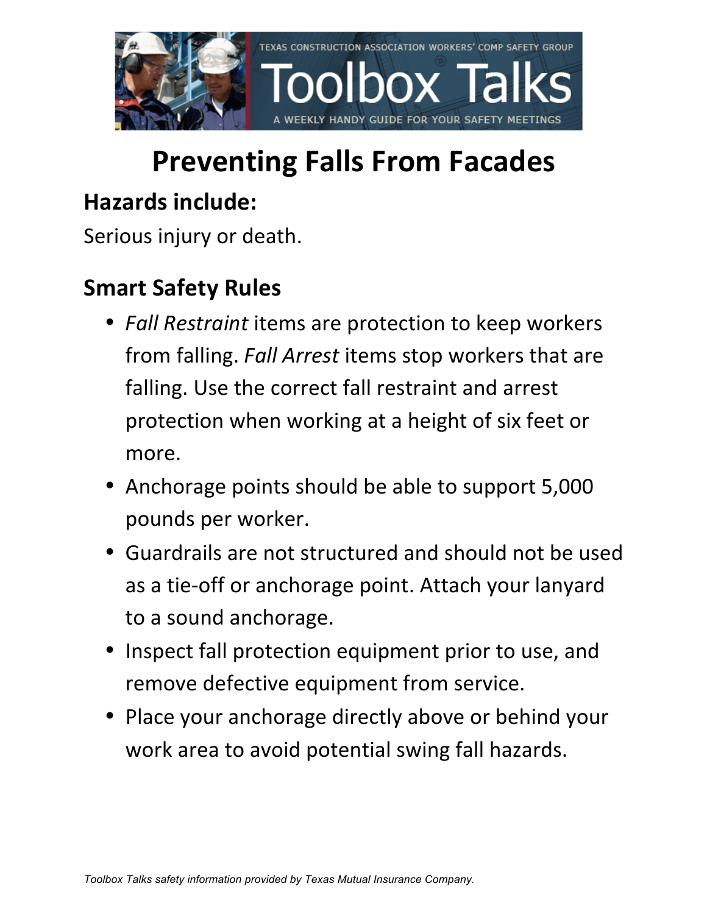

# **Preventing Falls From Facades**

### **Hazards include:**

Serious injury or death.

## **Smart Safety Rules**

- *Fall Restraint* items are protection to keep workers from falling. *Fall Arrest* items stop workers that are falling. Use the correct fall restraint and arrest protection when working at a height of six feet or more.
- Anchorage points should be able to support 5,000 pounds per worker.
- Guardrails are not structured and should not be used as a tie-off or anchorage point. Attach your lanyard to a sound anchorage.
- Inspect fall protection equipment prior to use, and remove defective equipment from service.
- Place your anchorage directly above or behind your work area to avoid potential swing fall hazards.